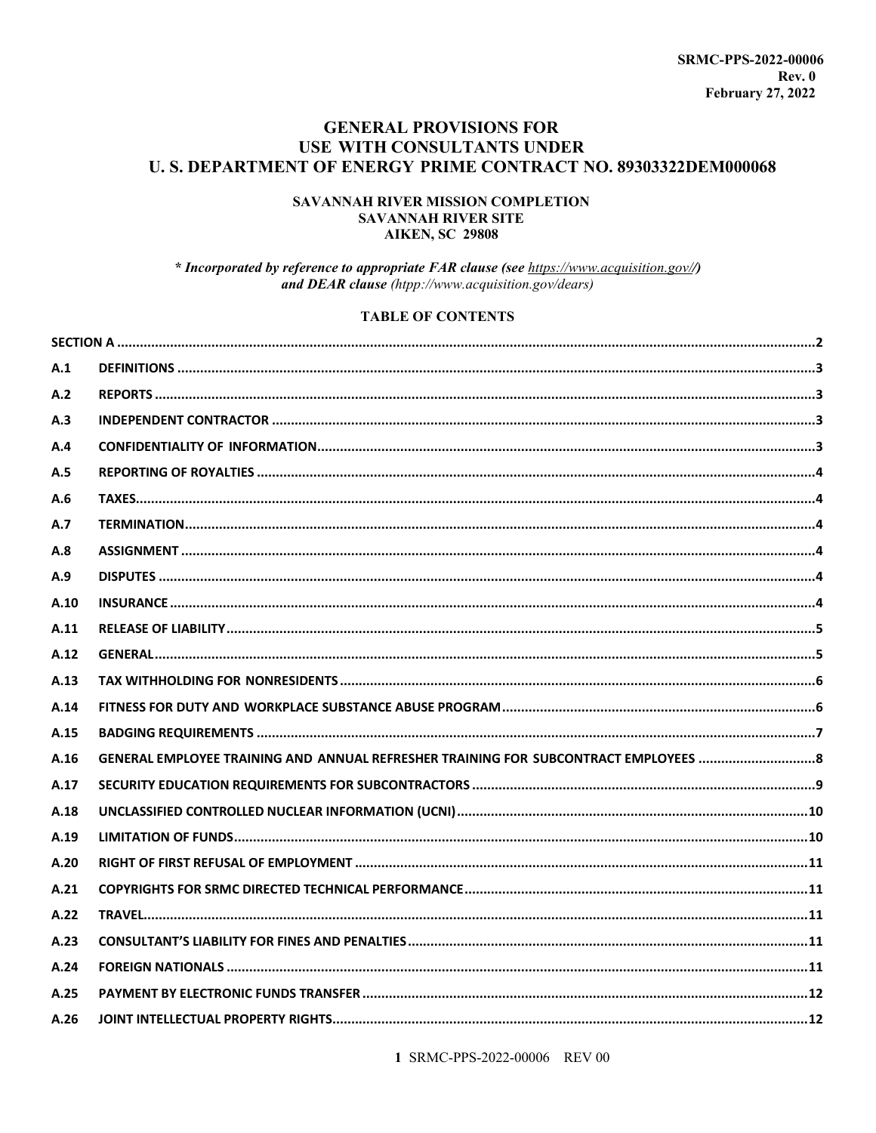# **GENERAL PROVISIONS FOR USE WITH CONSULTANTS UNDER** U. S. DEPARTMENT OF ENERGY PRIME CONTRACT NO. 89303322DEM000068

### SAVANNAH RIVER MISSION COMPLETION **SAVANNAH RIVER SITE AIKEN, SC 29808**

\* Incorporated by reference to appropriate FAR clause (see https://www.acquisition.gov//) and DEAR clause (htpp://www.acquisition.gov/dears)

# **TABLE OF CONTENTS**

| A.1  |                                                                                     |
|------|-------------------------------------------------------------------------------------|
| A.2  |                                                                                     |
| A.3  |                                                                                     |
| A.4  |                                                                                     |
| A.5  |                                                                                     |
| A.6  |                                                                                     |
| A.7  |                                                                                     |
| A.8  |                                                                                     |
| A.9  |                                                                                     |
| A.10 |                                                                                     |
| A.11 |                                                                                     |
| A.12 |                                                                                     |
| A.13 |                                                                                     |
| A.14 |                                                                                     |
| A.15 |                                                                                     |
| A.16 | GENERAL EMPLOYEE TRAINING AND ANNUAL REFRESHER TRAINING FOR SUBCONTRACT EMPLOYEES 8 |
| A.17 |                                                                                     |
| A.18 |                                                                                     |
| A.19 |                                                                                     |
| A.20 |                                                                                     |
| A.21 |                                                                                     |
| A.22 |                                                                                     |
| A.23 |                                                                                     |
| A.24 |                                                                                     |
| A.25 |                                                                                     |
| A.26 |                                                                                     |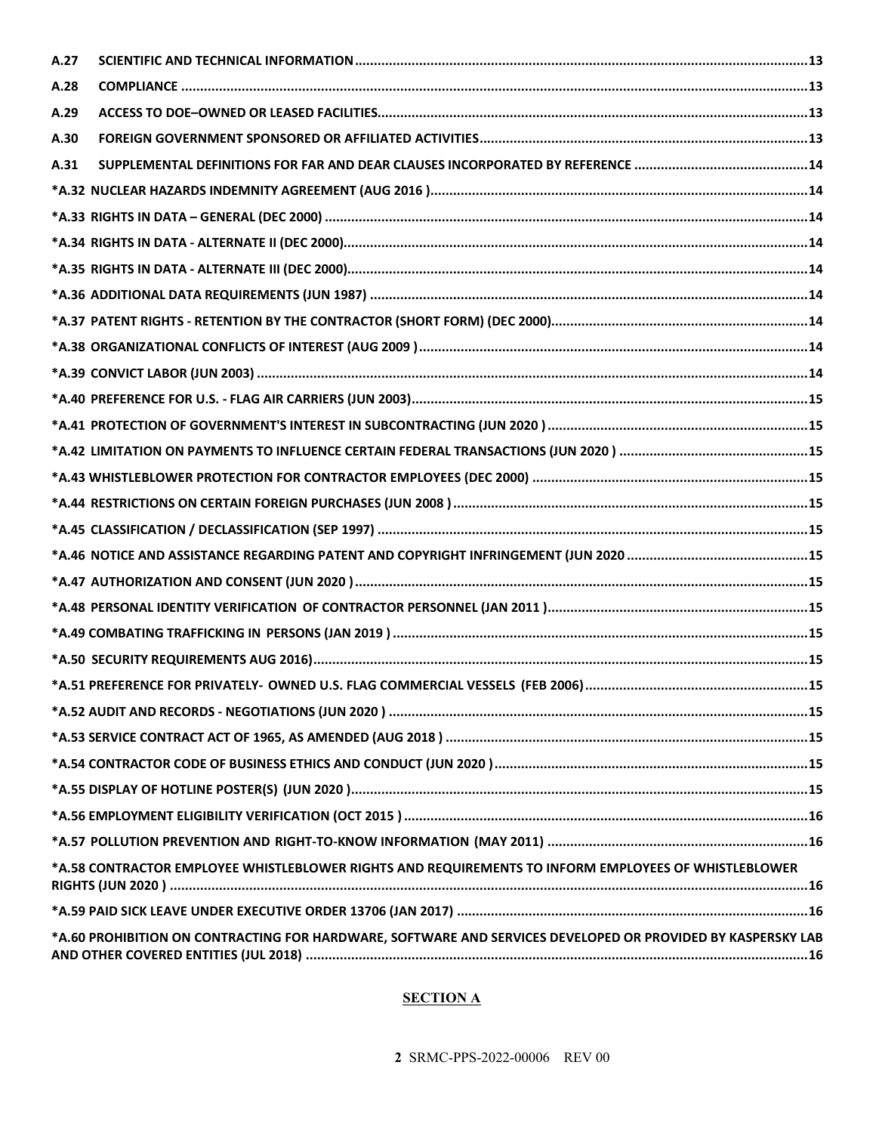| A.27 |                                                                                                             |  |
|------|-------------------------------------------------------------------------------------------------------------|--|
| A.28 |                                                                                                             |  |
| A.29 |                                                                                                             |  |
| A.30 |                                                                                                             |  |
| A.31 |                                                                                                             |  |
|      |                                                                                                             |  |
|      |                                                                                                             |  |
|      |                                                                                                             |  |
|      |                                                                                                             |  |
|      |                                                                                                             |  |
|      |                                                                                                             |  |
|      |                                                                                                             |  |
|      |                                                                                                             |  |
|      |                                                                                                             |  |
|      |                                                                                                             |  |
|      |                                                                                                             |  |
|      |                                                                                                             |  |
|      |                                                                                                             |  |
|      |                                                                                                             |  |
|      |                                                                                                             |  |
|      |                                                                                                             |  |
|      |                                                                                                             |  |
|      |                                                                                                             |  |
|      |                                                                                                             |  |
|      |                                                                                                             |  |
|      |                                                                                                             |  |
|      |                                                                                                             |  |
|      |                                                                                                             |  |
|      |                                                                                                             |  |
|      |                                                                                                             |  |
|      |                                                                                                             |  |
|      | *A.58 CONTRACTOR EMPLOYEE WHISTLEBLOWER RIGHTS AND REQUIREMENTS TO INFORM EMPLOYEES OF WHISTLEBLOWER        |  |
|      |                                                                                                             |  |
|      | *A.60 PROHIBITION ON CONTRACTING FOR HARDWARE, SOFTWARE AND SERVICES DEVELOPED OR PROVIDED BY KASPERSKY LAB |  |

# <span id="page-1-0"></span>**SECTION A**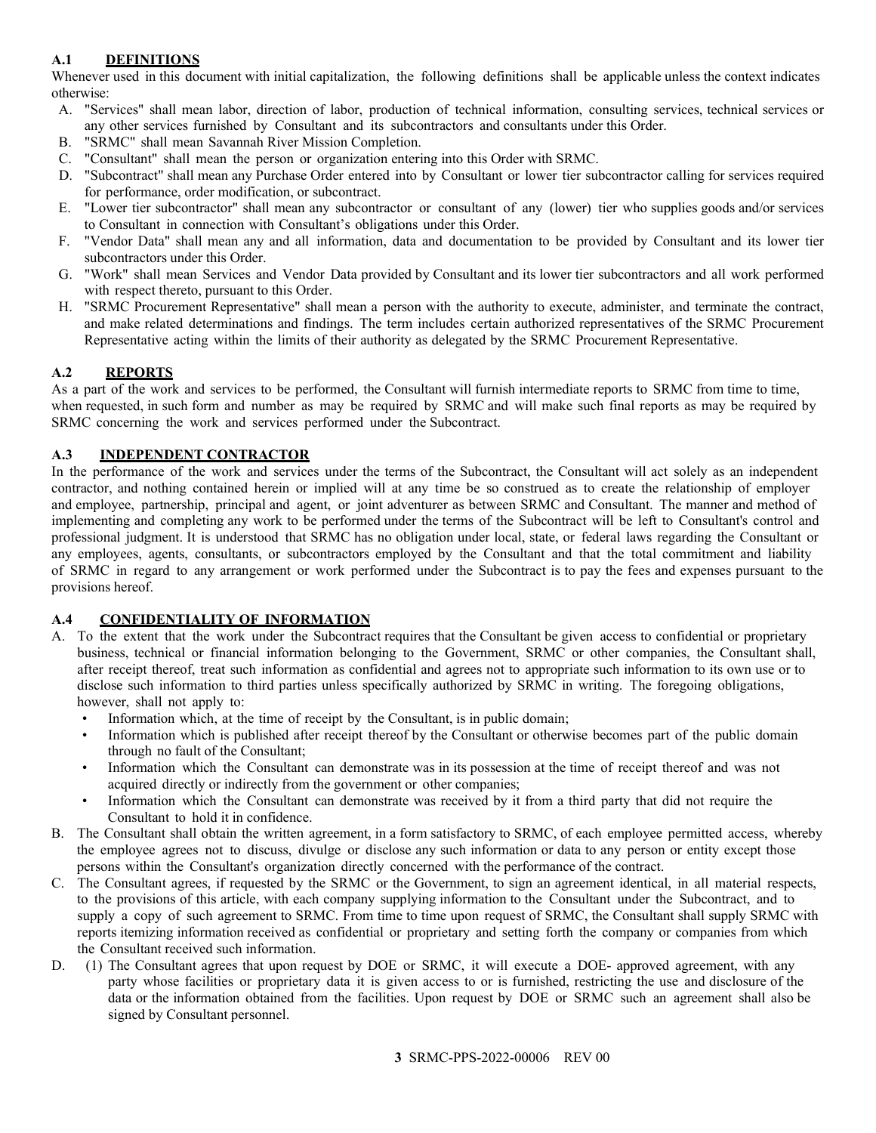# <span id="page-2-0"></span>**A.1 DEFINITIONS**

Whenever used in this document with initial capitalization, the following definitions shall be applicable unless the context indicates otherwise:

- A. "Services" shall mean labor, direction of labor, production of technical information, consulting services, technical services or any other services furnished by Consultant and its subcontractors and consultants under this Order.
- B. "SRMC" shall mean Savannah River Mission Completion.
- C. "Consultant" shall mean the person or organization entering into this Order with SRMC.
- D. "Subcontract" shall mean any Purchase Order entered into by Consultant or lower tier subcontractor calling for services required for performance, order modification, or subcontract.
- E. "Lower tier subcontractor" shall mean any subcontractor or consultant of any (lower) tier who supplies goods and/or services to Consultant in connection with Consultant's obligations under this Order.
- F. "Vendor Data" shall mean any and all information, data and documentation to be provided by Consultant and its lower tier subcontractors under this Order.
- G. "Work" shall mean Services and Vendor Data provided by Consultant and its lower tier subcontractors and all work performed with respect thereto, pursuant to this Order.
- H. "SRMC Procurement Representative" shall mean a person with the authority to execute, administer, and terminate the contract, and make related determinations and findings. The term includes certain authorized representatives of the SRMC Procurement Representative acting within the limits of their authority as delegated by the SRMC Procurement Representative.

# <span id="page-2-1"></span>**A.2 REPORTS**

As a part of the work and services to be performed, the Consultant will furnish intermediate reports to SRMC from time to time, when requested, in such form and number as may be required by SRMC and will make such final reports as may be required by SRMC concerning the work and services performed under the Subcontract.

### <span id="page-2-2"></span>**A.3 INDEPENDENT CONTRACTOR**

In the performance of the work and services under the terms of the Subcontract, the Consultant will act solely as an independent contractor, and nothing contained herein or implied will at any time be so construed as to create the relationship of employer and employee, partnership, principal and agent, or joint adventurer as between SRMC and Consultant. The manner and method of implementing and completing any work to be performed under the terms of the Subcontract will be left to Consultant's control and professional judgment. It is understood that SRMC has no obligation under local, state, or federal laws regarding the Consultant or any employees, agents, consultants, or subcontractors employed by the Consultant and that the total commitment and liability of SRMC in regard to any arrangement or work performed under the Subcontract is to pay the fees and expenses pursuant to the provisions hereof.

#### <span id="page-2-3"></span>**A.4 CONFIDENTIALITY OF INFORMATION**

- A. To the extent that the work under the Subcontract requires that the Consultant be given access to confidential or proprietary business, technical or financial information belonging to the Government, SRMC or other companies, the Consultant shall, after receipt thereof, treat such information as confidential and agrees not to appropriate such information to its own use or to disclose such information to third parties unless specifically authorized by SRMC in writing. The foregoing obligations, however, shall not apply to:
	- Information which, at the time of receipt by the Consultant, is in public domain;
	- Information which is published after receipt thereof by the Consultant or otherwise becomes part of the public domain through no fault of the Consultant;
	- Information which the Consultant can demonstrate was in its possession at the time of receipt thereof and was not acquired directly or indirectly from the government or other companies;
	- Information which the Consultant can demonstrate was received by it from a third party that did not require the Consultant to hold it in confidence.
- B. The Consultant shall obtain the written agreement, in a form satisfactory to SRMC, of each employee permitted access, whereby the employee agrees not to discuss, divulge or disclose any such information or data to any person or entity except those persons within the Consultant's organization directly concerned with the performance of the contract.
- C. The Consultant agrees, if requested by the SRMC or the Government, to sign an agreement identical, in all material respects, to the provisions of this article, with each company supplying information to the Consultant under the Subcontract, and to supply a copy of such agreement to SRMC. From time to time upon request of SRMC, the Consultant shall supply SRMC with reports itemizing information received as confidential or proprietary and setting forth the company or companies from which the Consultant received such information.
- D. (1) The Consultant agrees that upon request by DOE or SRMC, it will execute a DOE- approved agreement, with any party whose facilities or proprietary data it is given access to or is furnished, restricting the use and disclosure of the data or the information obtained from the facilities. Upon request by DOE or SRMC such an agreement shall also be signed by Consultant personnel.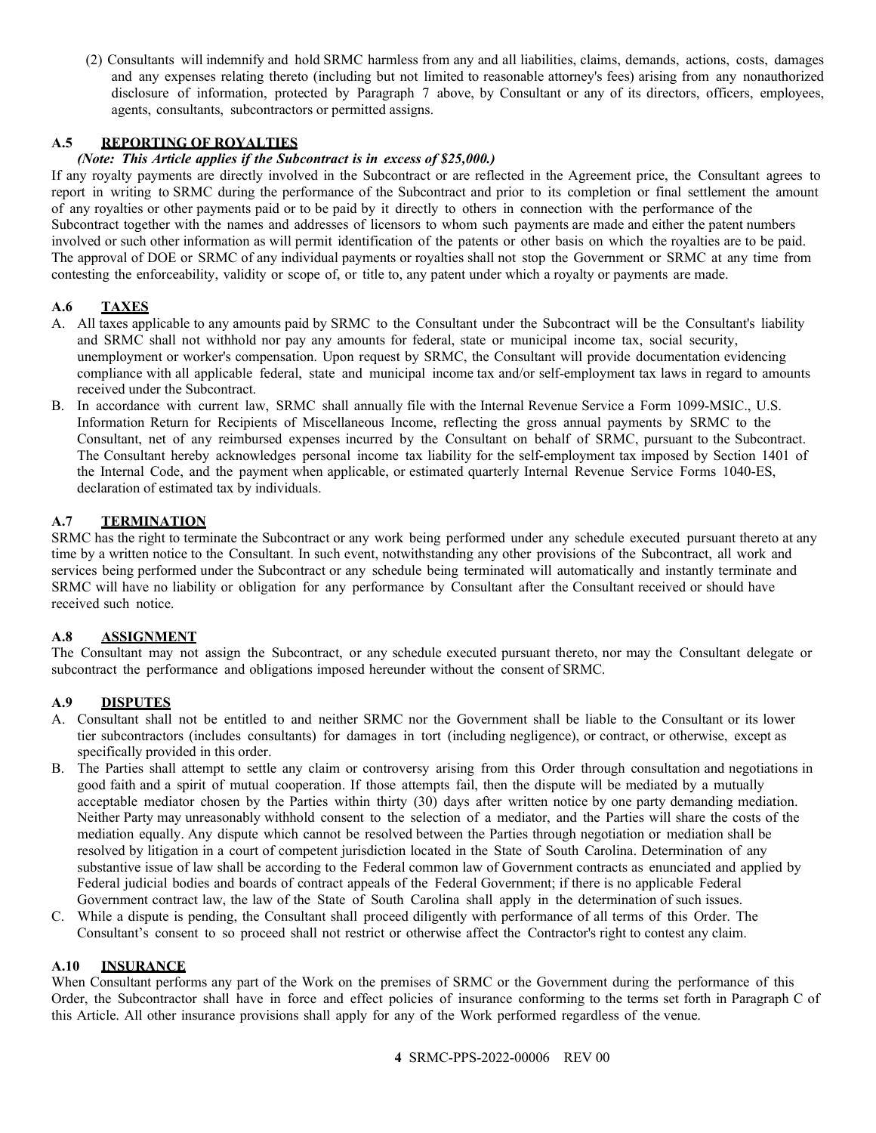(2) Consultants will indemnify and hold SRMC harmless from any and all liabilities, claims, demands, actions, costs, damages and any expenses relating thereto (including but not limited to reasonable attorney's fees) arising from any nonauthorized disclosure of information, protected by Paragraph 7 above, by Consultant or any of its directors, officers, employees, agents, consultants, subcontractors or permitted assigns.

# <span id="page-3-0"></span>**A.5 REPORTING OF ROYALTIES**

# *(Note: This Article applies if the Subcontract is in excess of \$25,000.)*

If any royalty payments are directly involved in the Subcontract or are reflected in the Agreement price, the Consultant agrees to report in writing to SRMC during the performance of the Subcontract and prior to its completion or final settlement the amount of any royalties or other payments paid or to be paid by it directly to others in connection with the performance of the Subcontract together with the names and addresses of licensors to whom such payments are made and either the patent numbers involved or such other information as will permit identification of the patents or other basis on which the royalties are to be paid. The approval of DOE or SRMC of any individual payments or royalties shall not stop the Government or SRMC at any time from contesting the enforceability, validity or scope of, or title to, any patent under which a royalty or payments are made.

# <span id="page-3-1"></span>**A.6 TAXES**

- A. All taxes applicable to any amounts paid by SRMC to the Consultant under the Subcontract will be the Consultant's liability and SRMC shall not withhold nor pay any amounts for federal, state or municipal income tax, social security, unemployment or worker's compensation. Upon request by SRMC, the Consultant will provide documentation evidencing compliance with all applicable federal, state and municipal income tax and/or self-employment tax laws in regard to amounts received under the Subcontract.
- B. In accordance with current law, SRMC shall annually file with the Internal Revenue Service a Form 1099-MSIC., U.S. Information Return for Recipients of Miscellaneous Income, reflecting the gross annual payments by SRMC to the Consultant, net of any reimbursed expenses incurred by the Consultant on behalf of SRMC, pursuant to the Subcontract. The Consultant hereby acknowledges personal income tax liability for the self-employment tax imposed by Section 1401 of the Internal Code, and the payment when applicable, or estimated quarterly Internal Revenue Service Forms 1040-ES, declaration of estimated tax by individuals.

# <span id="page-3-2"></span>**A.7 TERMINATION**

SRMC has the right to terminate the Subcontract or any work being performed under any schedule executed pursuant thereto at any time by a written notice to the Consultant. In such event, notwithstanding any other provisions of the Subcontract, all work and services being performed under the Subcontract or any schedule being terminated will automatically and instantly terminate and SRMC will have no liability or obligation for any performance by Consultant after the Consultant received or should have received such notice.

# <span id="page-3-3"></span>**A.8 ASSIGNMENT**

The Consultant may not assign the Subcontract, or any schedule executed pursuant thereto, nor may the Consultant delegate or subcontract the performance and obligations imposed hereunder without the consent of SRMC.

# <span id="page-3-4"></span>**A.9 DISPUTES**

- A. Consultant shall not be entitled to and neither SRMC nor the Government shall be liable to the Consultant or its lower tier subcontractors (includes consultants) for damages in tort (including negligence), or contract, or otherwise, except as specifically provided in this order.
- B. The Parties shall attempt to settle any claim or controversy arising from this Order through consultation and negotiations in good faith and a spirit of mutual cooperation. If those attempts fail, then the dispute will be mediated by a mutually acceptable mediator chosen by the Parties within thirty (30) days after written notice by one party demanding mediation. Neither Party may unreasonably withhold consent to the selection of a mediator, and the Parties will share the costs of the mediation equally. Any dispute which cannot be resolved between the Parties through negotiation or mediation shall be resolved by litigation in a court of competent jurisdiction located in the State of South Carolina. Determination of any substantive issue of law shall be according to the Federal common law of Government contracts as enunciated and applied by Federal judicial bodies and boards of contract appeals of the Federal Government; if there is no applicable Federal Government contract law, the law of the State of South Carolina shall apply in the determination of such issues.
- C. While a dispute is pending, the Consultant shall proceed diligently with performance of all terms of this Order. The Consultant's consent to so proceed shall not restrict or otherwise affect the Contractor's right to contest any claim.

# <span id="page-3-5"></span>**A.10 INSURANCE**

When Consultant performs any part of the Work on the premises of SRMC or the Government during the performance of this Order, the Subcontractor shall have in force and effect policies of insurance conforming to the terms set forth in Paragraph C of this Article. All other insurance provisions shall apply for any of the Work performed regardless of the venue.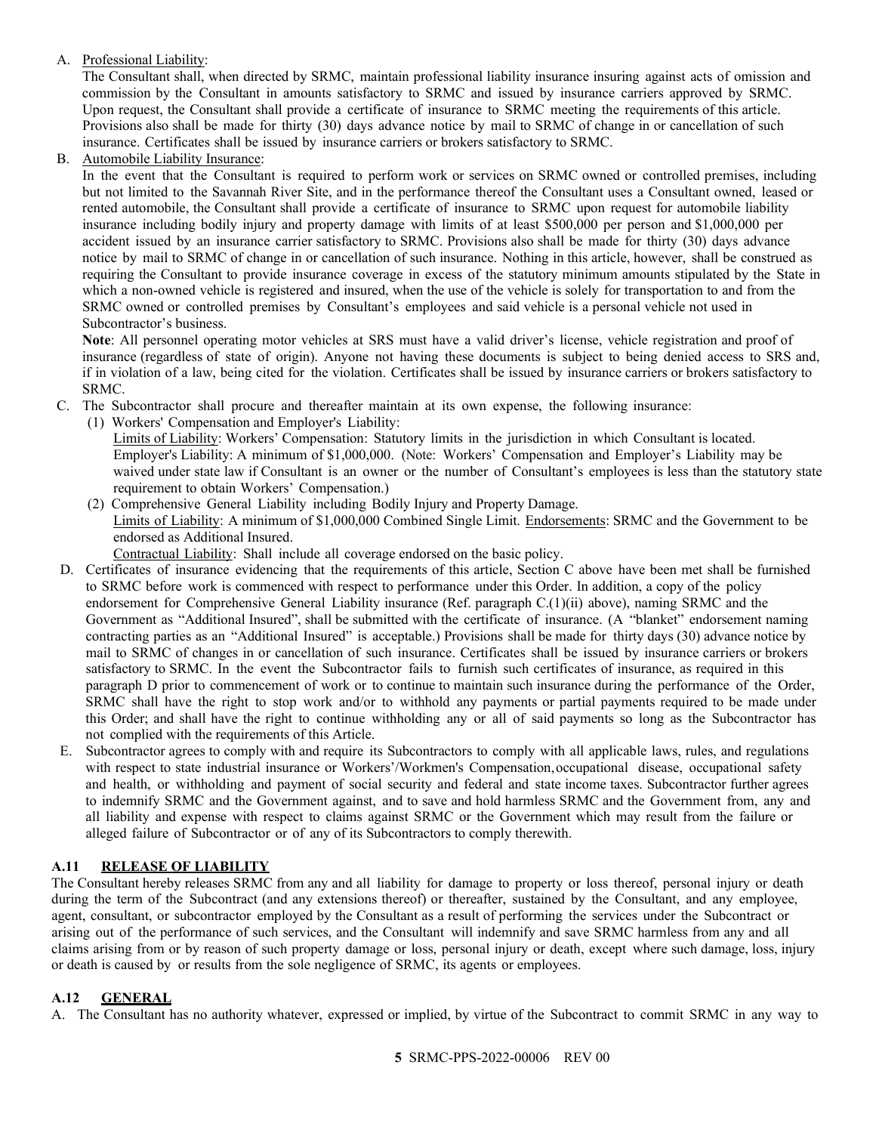## A. Professional Liability:

The Consultant shall, when directed by SRMC, maintain professional liability insurance insuring against acts of omission and commission by the Consultant in amounts satisfactory to SRMC and issued by insurance carriers approved by SRMC. Upon request, the Consultant shall provide a certificate of insurance to SRMC meeting the requirements of this article. Provisions also shall be made for thirty (30) days advance notice by mail to SRMC of change in or cancellation of such insurance. Certificates shall be issued by insurance carriers or brokers satisfactory to SRMC.

B. Automobile Liability Insurance:

In the event that the Consultant is required to perform work or services on SRMC owned or controlled premises, including but not limited to the Savannah River Site, and in the performance thereof the Consultant uses a Consultant owned, leased or rented automobile, the Consultant shall provide a certificate of insurance to SRMC upon request for automobile liability insurance including bodily injury and property damage with limits of at least \$500,000 per person and \$1,000,000 per accident issued by an insurance carrier satisfactory to SRMC. Provisions also shall be made for thirty (30) days advance notice by mail to SRMC of change in or cancellation of such insurance. Nothing in this article, however, shall be construed as requiring the Consultant to provide insurance coverage in excess of the statutory minimum amounts stipulated by the State in which a non-owned vehicle is registered and insured, when the use of the vehicle is solely for transportation to and from the SRMC owned or controlled premises by Consultant's employees and said vehicle is a personal vehicle not used in Subcontractor's business.

Note: All personnel operating motor vehicles at SRS must have a valid driver's license, vehicle registration and proof of insurance (regardless of state of origin). Anyone not having these documents is subject to being denied access to SRS and, if in violation of a law, being cited for the violation. Certificates shall be issued by insurance carriers or brokers satisfactory to SRMC.

- C. The Subcontractor shall procure and thereafter maintain at its own expense, the following insurance:
	- (1) Workers' Compensation and Employer's Liability: Limits of Liability: Workers' Compensation: Statutory limits in the jurisdiction in which Consultant is located. Employer's Liability: A minimum of \$1,000,000. (Note: Workers' Compensation and Employer's Liability may be waived under state law if Consultant is an owner or the number of Consultant's employees is less than the statutory state requirement to obtain Workers' Compensation.)
	- (2) Comprehensive General Liability including Bodily Injury and Property Damage. Limits of Liability: A minimum of \$1,000,000 Combined Single Limit. Endorsements: SRMC and the Government to be endorsed as Additional Insured. Contractual Liability: Shall include all coverage endorsed on the basic policy.
- D. Certificates of insurance evidencing that the requirements of this article, Section C above have been met shall be furnished to SRMC before work is commenced with respect to performance under this Order. In addition, a copy of the policy endorsement for Comprehensive General Liability insurance (Ref. paragraph C.(1)(ii) above), naming SRMC and the Government as "Additional Insured", shall be submitted with the certificate of insurance. (A "blanket" endorsement naming contracting parties as an "Additional Insured" is acceptable.) Provisions shall be made for thirty days (30) advance notice by mail to SRMC of changes in or cancellation of such insurance. Certificates shall be issued by insurance carriers or brokers satisfactory to SRMC. In the event the Subcontractor fails to furnish such certificates of insurance, as required in this paragraph D prior to commencement of work or to continue to maintain such insurance during the performance of the Order, SRMC shall have the right to stop work and/or to withhold any payments or partial payments required to be made under this Order; and shall have the right to continue withholding any or all of said payments so long as the Subcontractor has not complied with the requirements of this Article.
- E. Subcontractor agrees to comply with and require its Subcontractors to comply with all applicable laws, rules, and regulations with respect to state industrial insurance or Workers'/Workmen's Compensation,occupational disease, occupational safety and health, or withholding and payment of social security and federal and state income taxes. Subcontractor further agrees to indemnify SRMC and the Government against, and to save and hold harmless SRMC and the Government from, any and all liability and expense with respect to claims against SRMC or the Government which may result from the failure or alleged failure of Subcontractor or of any of its Subcontractors to comply therewith.

# <span id="page-4-0"></span>**A.11 RELEASE OF LIABILITY**

The Consultant hereby releases SRMC from any and all liability for damage to property or loss thereof, personal injury or death during the term of the Subcontract (and any extensions thereof) or thereafter, sustained by the Consultant, and any employee, agent, consultant, or subcontractor employed by the Consultant as a result of performing the services under the Subcontract or arising out of the performance of such services, and the Consultant will indemnify and save SRMC harmless from any and all claims arising from or by reason of such property damage or loss, personal injury or death, except where such damage, loss, injury or death is caused by or results from the sole negligence of SRMC, its agents or employees.

# <span id="page-4-1"></span>**A.12 GENERAL**

A. The Consultant has no authority whatever, expressed or implied, by virtue of the Subcontract to commit SRMC in any way to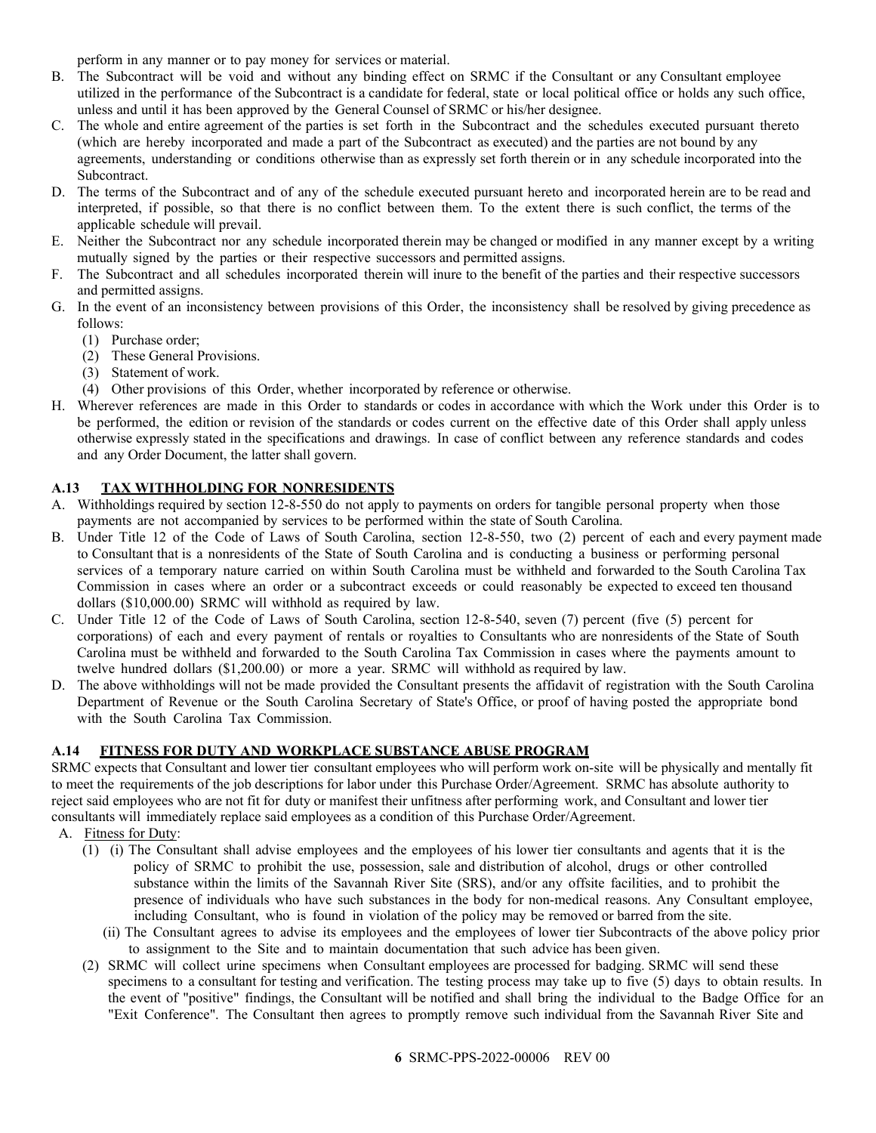perform in any manner or to pay money for services or material.

- B. The Subcontract will be void and without any binding effect on SRMC if the Consultant or any Consultant employee utilized in the performance of the Subcontract is a candidate for federal, state or local political office or holds any such office, unless and until it has been approved by the General Counsel of SRMC or his/her designee.
- C. The whole and entire agreement of the parties is set forth in the Subcontract and the schedules executed pursuant thereto (which are hereby incorporated and made a part of the Subcontract as executed) and the parties are not bound by any agreements, understanding or conditions otherwise than as expressly set forth therein or in any schedule incorporated into the Subcontract.
- D. The terms of the Subcontract and of any of the schedule executed pursuant hereto and incorporated herein are to be read and interpreted, if possible, so that there is no conflict between them. To the extent there is such conflict, the terms of the applicable schedule will prevail.
- E. Neither the Subcontract nor any schedule incorporated therein may be changed or modified in any manner except by a writing mutually signed by the parties or their respective successors and permitted assigns.
- F. The Subcontract and all schedules incorporated therein will inure to the benefit of the parties and their respective successors and permitted assigns.
- G. In the event of an inconsistency between provisions of this Order, the inconsistency shall be resolved by giving precedence as follows:
	- (1) Purchase order;
	- (2) These General Provisions.
	- (3) Statement of work.
	- (4) Other provisions of this Order, whether incorporated by reference or otherwise.
- H. Wherever references are made in this Order to standards or codes in accordance with which the Work under this Order is to be performed, the edition or revision of the standards or codes current on the effective date of this Order shall apply unless otherwise expressly stated in the specifications and drawings. In case of conflict between any reference standards and codes and any Order Document, the latter shall govern.

### <span id="page-5-0"></span>**A.13 TAX WITHHOLDING FOR NONRESIDENTS**

- A. Withholdings required by section 12-8-550 do not apply to payments on orders for tangible personal property when those payments are not accompanied by services to be performed within the state of South Carolina.
- B. Under Title 12 of the Code of Laws of South Carolina, section 12-8-550, two (2) percent of each and every payment made to Consultant that is a nonresidents of the State of South Carolina and is conducting a business or performing personal services of a temporary nature carried on within South Carolina must be withheld and forwarded to the South Carolina Tax Commission in cases where an order or a subcontract exceeds or could reasonably be expected to exceed ten thousand dollars (\$10,000.00) SRMC will withhold as required by law.
- C. Under Title 12 of the Code of Laws of South Carolina, section 12-8-540, seven (7) percent (five (5) percent for corporations) of each and every payment of rentals or royalties to Consultants who are nonresidents of the State of South Carolina must be withheld and forwarded to the South Carolina Tax Commission in cases where the payments amount to twelve hundred dollars (\$1,200.00) or more a year. SRMC will withhold as required by law.
- D. The above withholdings will not be made provided the Consultant presents the affidavit of registration with the South Carolina Department of Revenue or the South Carolina Secretary of State's Office, or proof of having posted the appropriate bond with the South Carolina Tax Commission.

#### <span id="page-5-1"></span>**A.14 FITNESS FOR DUTY AND WORKPLACE SUBSTANCE ABUSE PROGRAM**

SRMC expects that Consultant and lower tier consultant employees who will perform work on-site will be physically and mentally fit to meet the requirements of the job descriptions for labor under this Purchase Order/Agreement. SRMC has absolute authority to reject said employees who are not fit for duty or manifest their unfitness after performing work, and Consultant and lower tier consultants will immediately replace said employees as a condition of this Purchase Order/Agreement.

- A. Fitness for Duty:
	- (1) (i) The Consultant shall advise employees and the employees of his lower tier consultants and agents that it is the policy of SRMC to prohibit the use, possession, sale and distribution of alcohol, drugs or other controlled substance within the limits of the Savannah River Site (SRS), and/or any offsite facilities, and to prohibit the presence of individuals who have such substances in the body for non-medical reasons. Any Consultant employee, including Consultant, who is found in violation of the policy may be removed or barred from the site.
		- (ii) The Consultant agrees to advise its employees and the employees of lower tier Subcontracts of the above policy prior to assignment to the Site and to maintain documentation that such advice has been given.
	- (2) SRMC will collect urine specimens when Consultant employees are processed for badging. SRMC will send these specimens to a consultant for testing and verification. The testing process may take up to five (5) days to obtain results. In the event of "positive" findings, the Consultant will be notified and shall bring the individual to the Badge Office for an "Exit Conference". The Consultant then agrees to promptly remove such individual from the Savannah River Site and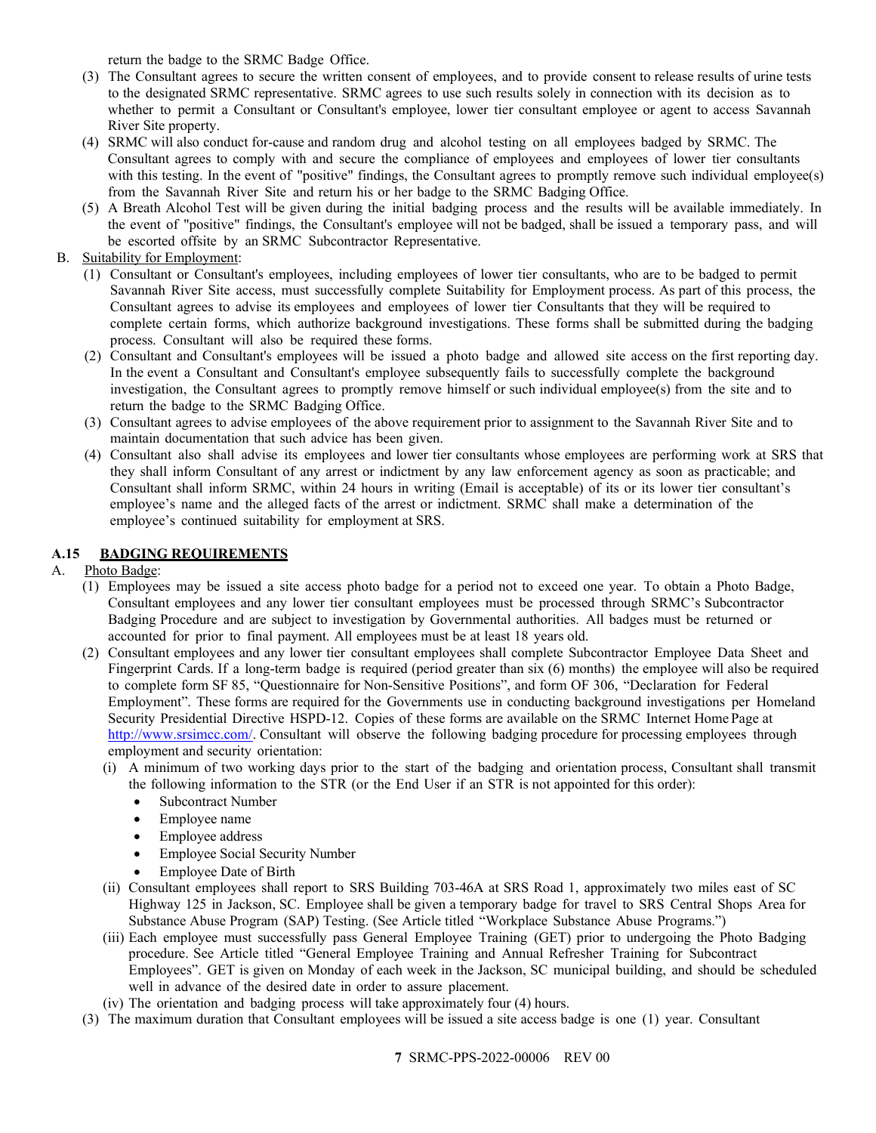return the badge to the SRMC Badge Office.

- (3) The Consultant agrees to secure the written consent of employees, and to provide consent to release results of urine tests to the designated SRMC representative. SRMC agrees to use such results solely in connection with its decision as to whether to permit a Consultant or Consultant's employee, lower tier consultant employee or agent to access Savannah River Site property.
- (4) SRMC will also conduct for-cause and random drug and alcohol testing on all employees badged by SRMC. The Consultant agrees to comply with and secure the compliance of employees and employees of lower tier consultants with this testing. In the event of "positive" findings, the Consultant agrees to promptly remove such individual employee(s) from the Savannah River Site and return his or her badge to the SRMC Badging Office.
- (5) A Breath Alcohol Test will be given during the initial badging process and the results will be available immediately. In the event of "positive" findings, the Consultant's employee will not be badged, shall be issued a temporary pass, and will be escorted offsite by an SRMC Subcontractor Representative.
- B. Suitability for Employment:
	- (1) Consultant or Consultant's employees, including employees of lower tier consultants, who are to be badged to permit Savannah River Site access, must successfully complete Suitability for Employment process. As part of this process, the Consultant agrees to advise its employees and employees of lower tier Consultants that they will be required to complete certain forms, which authorize background investigations. These forms shall be submitted during the badging process. Consultant will also be required these forms.
	- (2) Consultant and Consultant's employees will be issued a photo badge and allowed site access on the first reporting day. In the event a Consultant and Consultant's employee subsequently fails to successfully complete the background investigation, the Consultant agrees to promptly remove himself or such individual employee(s) from the site and to return the badge to the SRMC Badging Office.
	- (3) Consultant agrees to advise employees of the above requirement prior to assignment to the Savannah River Site and to maintain documentation that such advice has been given.
	- (4) Consultant also shall advise its employees and lower tier consultants whose employees are performing work at SRS that they shall inform Consultant of any arrest or indictment by any law enforcement agency as soon as practicable; and Consultant shall inform SRMC, within 24 hours in writing (Email is acceptable) of its or its lower tier consultant's employee's name and the alleged facts of the arrest or indictment. SRMC shall make a determination of the employee's continued suitability for employment at SRS.

# <span id="page-6-0"></span>**A.15 BADGING REQUIREMENTS**

- A. Photo Badge:
	- (1) Employees may be issued a site access photo badge for a period not to exceed one year. To obtain a Photo Badge, Consultant employees and any lower tier consultant employees must be processed through SRMC's Subcontractor Badging Procedure and are subject to investigation by Governmental authorities. All badges must be returned or accounted for prior to final payment. All employees must be at least 18 years old.
	- (2) Consultant employees and any lower tier consultant employees shall complete Subcontractor Employee Data Sheet and Fingerprint Cards. If a long-term badge is required (period greater than six (6) months) the employee will also be required to complete form SF 85, "Questionnaire for Non-Sensitive Positions", and form OF 306, "Declaration for Federal Employment". These forms are required for the Governments use in conducting background investigations per Homeland Security Presidential Directive HSPD-12. Copies of these forms are available on the SRMC Internet Home Page at [http://www.srsimcc.com/.](http://www.srsimcc.com/) Consultant will observe the following badging procedure for processing employees through employment and security orientation:
		- (i) A minimum of two working days prior to the start of the badging and orientation process, Consultant shall transmit the following information to the STR (or the End User if an STR is not appointed for this order):
			- Subcontract Number
			- Employee name
			- Employee address
			- Employee Social Security Number
			- Employee Date of Birth
		- (ii) Consultant employees shall report to SRS Building 703-46A at SRS Road 1, approximately two miles east of SC Highway 125 in Jackson, SC. Employee shall be given a temporary badge for travel to SRS Central Shops Area for Substance Abuse Program (SAP) Testing. (See Article titled "Workplace Substance Abuse Programs.")
		- (iii) Each employee must successfully pass General Employee Training (GET) prior to undergoing the Photo Badging procedure. See Article titled "General Employee Training and Annual Refresher Training for Subcontract Employees". GET is given on Monday of each week in the Jackson, SC municipal building, and should be scheduled well in advance of the desired date in order to assure placement.
		- (iv) The orientation and badging process will take approximately four (4) hours.
	- (3) The maximum duration that Consultant employees will be issued a site access badge is one (1) year. Consultant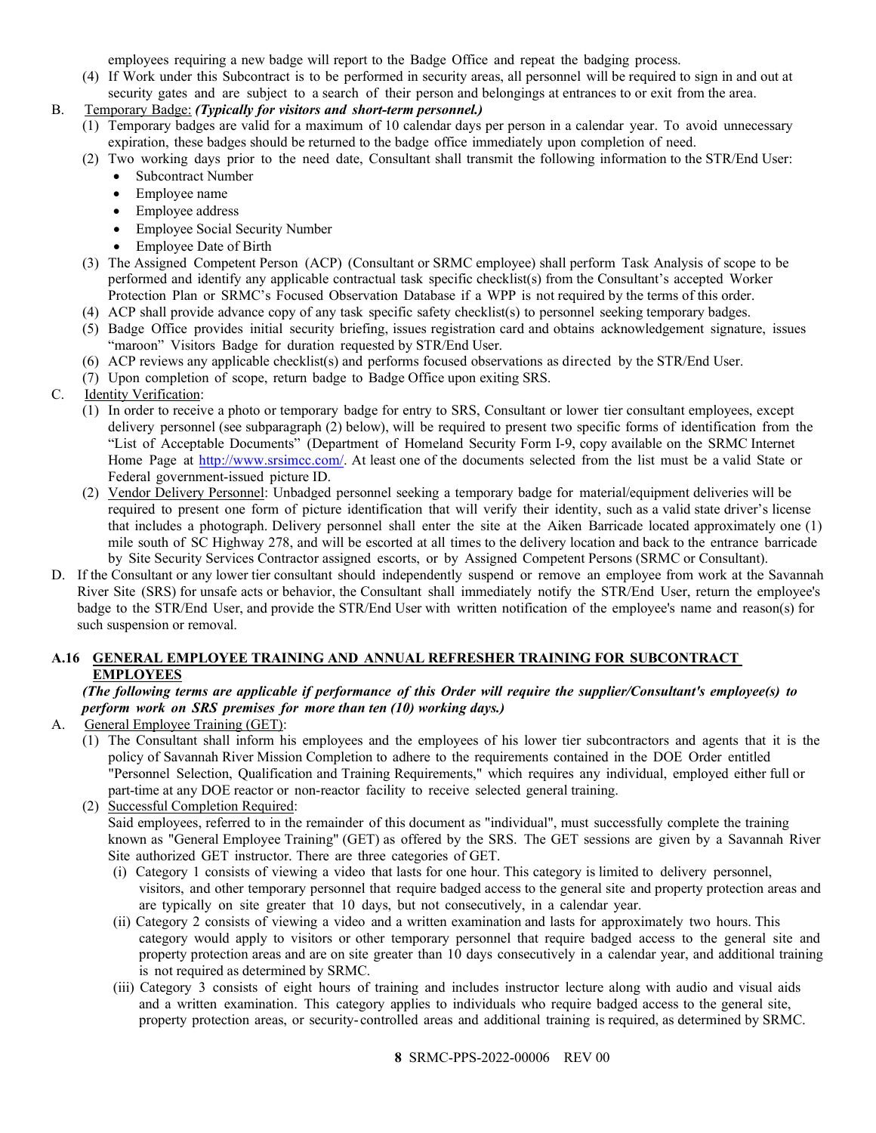employees requiring a new badge will report to the Badge Office and repeat the badging process.

(4) If Work under this Subcontract is to be performed in security areas, all personnel will be required to sign in and out at security gates and are subject to a search of their person and belongings at entrances to or exit from the area.

### B. Temporary Badge: *(Typically for visitors and short-term personnel.)*

- (1) Temporary badges are valid for a maximum of 10 calendar days per person in a calendar year. To avoid unnecessary expiration, these badges should be returned to the badge office immediately upon completion of need.
- (2) Two working days prior to the need date, Consultant shall transmit the following information to the STR/End User:
	- Subcontract Number
	- Employee name
	- Employee address
	- Employee Social Security Number
	- Employee Date of Birth
- (3) The Assigned Competent Person (ACP) (Consultant or SRMC employee) shall perform Task Analysis of scope to be performed and identify any applicable contractual task specific checklist(s) from the Consultant's accepted Worker Protection Plan or SRMC's Focused Observation Database if a WPP is not required by the terms of this order.
- (4) ACP shall provide advance copy of any task specific safety checklist(s) to personnel seeking temporary badges.
- (5) Badge Office provides initial security briefing, issues registration card and obtains acknowledgement signature, issues "maroon" Visitors Badge for duration requested by STR/End User.
- (6) ACP reviews any applicable checklist(s) and performs focused observations as directed by the STR/End User.
- (7) Upon completion of scope, return badge to Badge Office upon exiting SRS.
- C. Identity Verification:
	- (1) In order to receive a photo or temporary badge for entry to SRS, Consultant or lower tier consultant employees, except delivery personnel (see subparagraph (2) below), will be required to present two specific forms of identification from the "List of Acceptable Documents" (Department of Homeland Security Form I-9, copy available on the SRMC Internet Home Page at [http://www.srsimcc.com/.](http://www.srsimcc.com/) At least one of the documents selected from the list must be a valid State or Federal government-issued picture ID.
	- (2) Vendor Delivery Personnel: Unbadged personnel seeking a temporary badge for material/equipment deliveries will be required to present one form of picture identification that will verify their identity, such as a valid state driver's license that includes a photograph. Delivery personnel shall enter the site at the Aiken Barricade located approximately one (1) mile south of SC Highway 278, and will be escorted at all times to the delivery location and back to the entrance barricade by Site Security Services Contractor assigned escorts, or by Assigned Competent Persons (SRMC or Consultant).
- D. If the Consultant or any lower tier consultant should independently suspend or remove an employee from work at the Savannah River Site (SRS) for unsafe acts or behavior, the Consultant shall immediately notify the STR/End User, return the employee's badge to the STR/End User, and provide the STR/End User with written notification of the employee's name and reason(s) for such suspension or removal.

#### <span id="page-7-0"></span>**A.16 GENERAL EMPLOYEE TRAINING AND ANNUAL REFRESHER TRAINING FOR SUBCONTRACT EMPLOYEES**

### (The following terms are applicable if performance of this Order will require the supplier/Consultant's employee(s) to *perform work on SRS premises for more than ten (10) working days.)*

# A. General Employee Training (GET):

(1) The Consultant shall inform his employees and the employees of his lower tier subcontractors and agents that it is the policy of Savannah River Mission Completion to adhere to the requirements contained in the DOE Order entitled "Personnel Selection, Qualification and Training Requirements," which requires any individual, employed either full or part-time at any DOE reactor or non-reactor facility to receive selected general training.

#### (2) Successful Completion Required: Said employees, referred to in the remainder of this document as "individual", must successfully complete the training known as "General Employee Training" (GET) as offered by the SRS. The GET sessions are given by a Savannah River Site authorized GET instructor. There are three categories of GET.

- (i) Category 1 consists of viewing a video that lasts for one hour. This category is limited to delivery personnel, visitors, and other temporary personnel that require badged access to the general site and property protection areas and are typically on site greater that 10 days, but not consecutively, in a calendar year.
- (ii) Category 2 consists of viewing a video and a written examination and lasts for approximately two hours. This category would apply to visitors or other temporary personnel that require badged access to the general site and property protection areas and are on site greater than 10 days consecutively in a calendar year, and additional training is not required as determined by SRMC.
- (iii) Category 3 consists of eight hours of training and includes instructor lecture along with audio and visual aids and a written examination. This category applies to individuals who require badged access to the general site, property protection areas, or security- controlled areas and additional training is required, as determined by SRMC.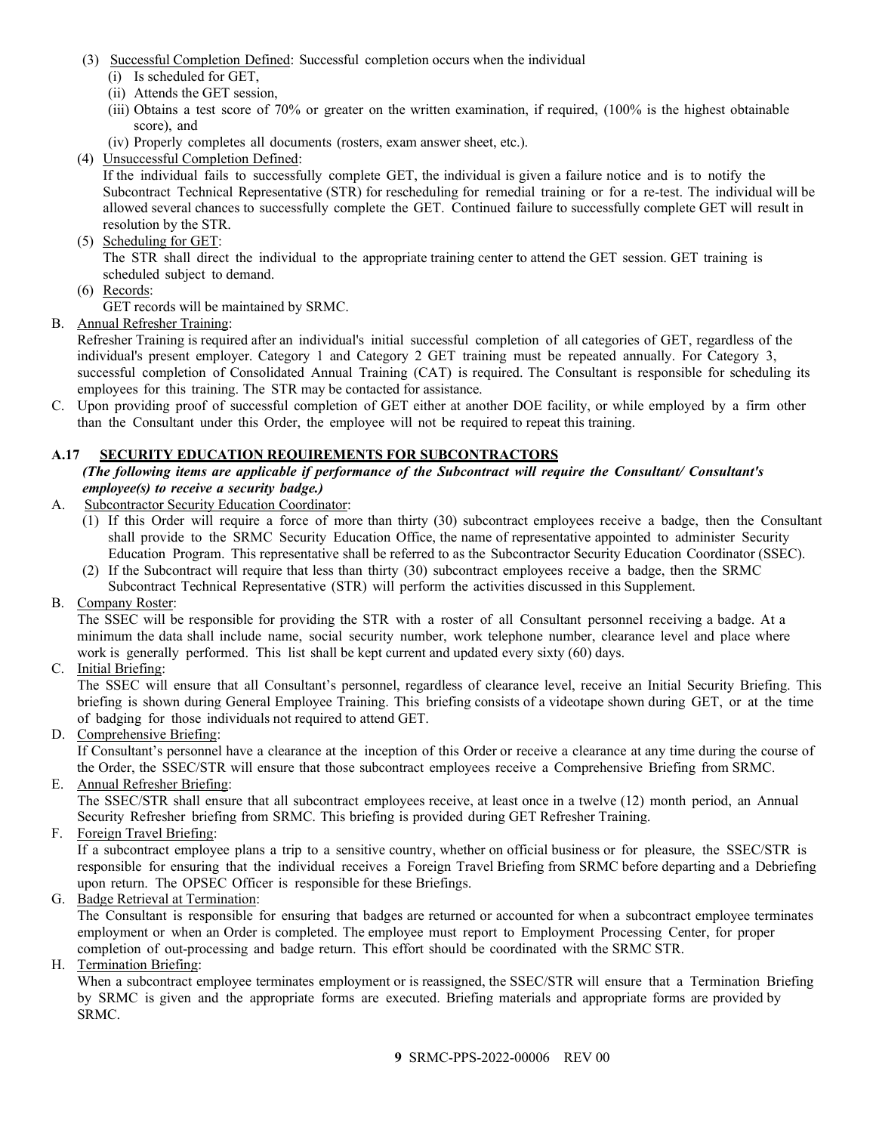- (3) Successful Completion Defined: Successful completion occurs when the individual
	- (i) Is scheduled for GET,
	- (ii) Attends the GET session,
	- (iii) Obtains a test score of 70% or greater on the written examination, if required, (100% is the highest obtainable score), and
	- (iv) Properly completes all documents (rosters, exam answer sheet, etc.).
- (4) Unsuccessful Completion Defined:

If the individual fails to successfully complete GET, the individual is given a failure notice and is to notify the Subcontract Technical Representative (STR) for rescheduling for remedial training or for a re-test. The individual will be allowed several chances to successfully complete the GET. Continued failure to successfully complete GET will result in resolution by the STR.

(5) Scheduling for GET:

The STR shall direct the individual to the appropriate training center to attend the GET session. GET training is scheduled subject to demand.

- (6) Records:
	- GET records will be maintained by SRMC.

### B. Annual Refresher Training:

Refresher Training is required after an individual's initial successful completion of all categories of GET, regardless of the individual's present employer. Category 1 and Category 2 GET training must be repeated annually. For Category 3, successful completion of Consolidated Annual Training (CAT) is required. The Consultant is responsible for scheduling its employees for this training. The STR may be contacted for assistance.

C. Upon providing proof of successful completion of GET either at another DOE facility, or while employed by a firm other than the Consultant under this Order, the employee will not be required to repeat this training.

#### <span id="page-8-0"></span>**A.17 SECURITY EDUCATION REQUIREMENTS FOR SUBCONTRACTORS**

#### *(The following items are applicable if performance of the Subcontract will require the Consultant/ Consultant's employee(s) to receive a security badge.)*

- A. Subcontractor Security Education Coordinator:
	- (1) If this Order will require a force of more than thirty (30) subcontract employees receive a badge, then the Consultant shall provide to the SRMC Security Education Office, the name of representative appointed to administer Security Education Program. This representative shall be referred to as the Subcontractor Security Education Coordinator (SSEC).
	- (2) If the Subcontract will require that less than thirty (30) subcontract employees receive a badge, then the SRMC Subcontract Technical Representative (STR) will perform the activities discussed in this Supplement.

# B. Company Roster:

The SSEC will be responsible for providing the STR with a roster of all Consultant personnel receiving a badge. At a minimum the data shall include name, social security number, work telephone number, clearance level and place where work is generally performed. This list shall be kept current and updated every sixty (60) days.

C. Initial Briefing:

The SSEC will ensure that all Consultant's personnel, regardless of clearance level, receive an Initial Security Briefing. This briefing is shown during General Employee Training. This briefing consists of a videotape shown during GET, or at the time of badging for those individuals not required to attend GET.

D. Comprehensive Briefing:

If Consultant's personnel have a clearance at the inception of this Order or receive a clearance at any time during the course of the Order, the SSEC/STR will ensure that those subcontract employees receive a Comprehensive Briefing from SRMC.

E. Annual Refresher Briefing:

The SSEC/STR shall ensure that all subcontract employees receive, at least once in a twelve (12) month period, an Annual Security Refresher briefing from SRMC. This briefing is provided during GET Refresher Training.

F. Foreign Travel Briefing:

If a subcontract employee plans a trip to a sensitive country, whether on official business or for pleasure, the SSEC/STR is responsible for ensuring that the individual receives a Foreign Travel Briefing from SRMC before departing and a Debriefing upon return. The OPSEC Officer is responsible for these Briefings.

G. Badge Retrieval at Termination:

The Consultant is responsible for ensuring that badges are returned or accounted for when a subcontract employee terminates employment or when an Order is completed. The employee must report to Employment Processing Center, for proper completion of out-processing and badge return. This effort should be coordinated with the SRMC STR.

H. Termination Briefing:

When a subcontract employee terminates employment or is reassigned, the SSEC/STR will ensure that a Termination Briefing by SRMC is given and the appropriate forms are executed. Briefing materials and appropriate forms are provided by SRMC.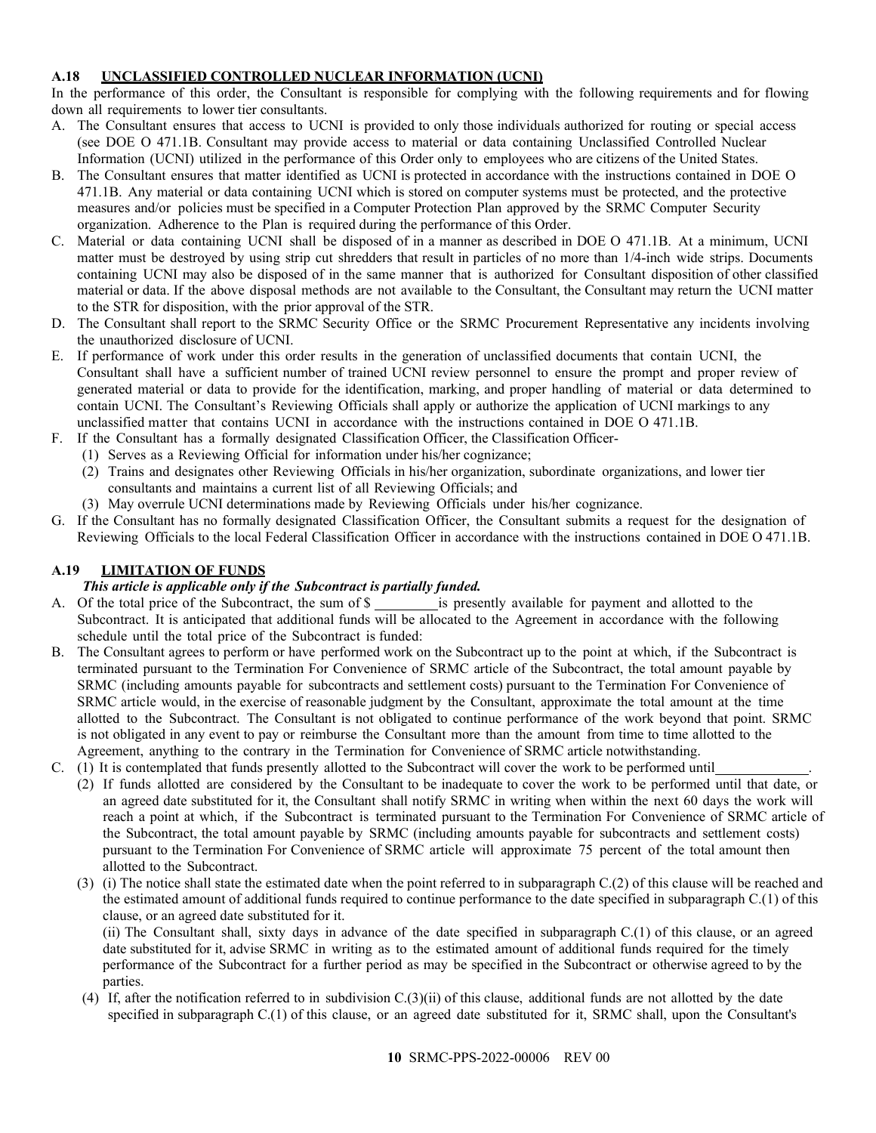### <span id="page-9-0"></span>**A.18 UNCLASSIFIED CONTROLLED NUCLEAR INFORMATION (UCNI)**

In the performance of this order, the Consultant is responsible for complying with the following requirements and for flowing down all requirements to lower tier consultants.

- A. The Consultant ensures that access to UCNI is provided to only those individuals authorized for routing or special access (see DOE O 471.1B. Consultant may provide access to material or data containing Unclassified Controlled Nuclear Information (UCNI) utilized in the performance of this Order only to employees who are citizens of the United States.
- B. The Consultant ensures that matter identified as UCNI is protected in accordance with the instructions contained in DOE O 471.1B. Any material or data containing UCNI which is stored on computer systems must be protected, and the protective measures and/or policies must be specified in a Computer Protection Plan approved by the SRMC Computer Security organization. Adherence to the Plan is required during the performance of this Order.
- C. Material or data containing UCNI shall be disposed of in a manner as described in DOE O 471.1B. At a minimum, UCNI matter must be destroyed by using strip cut shredders that result in particles of no more than 1/4-inch wide strips. Documents containing UCNI may also be disposed of in the same manner that is authorized for Consultant disposition of other classified material or data. If the above disposal methods are not available to the Consultant, the Consultant may return the UCNI matter to the STR for disposition, with the prior approval of the STR.
- D. The Consultant shall report to the SRMC Security Office or the SRMC Procurement Representative any incidents involving the unauthorized disclosure of UCNI.
- E. If performance of work under this order results in the generation of unclassified documents that contain UCNI, the Consultant shall have a sufficient number of trained UCNI review personnel to ensure the prompt and proper review of generated material or data to provide for the identification, marking, and proper handling of material or data determined to contain UCNI. The Consultant's Reviewing Officials shall apply or authorize the application of UCNI markings to any unclassified matter that contains UCNI in accordance with the instructions contained in DOE O 471.1B.
- F. If the Consultant has a formally designated Classification Officer, the Classification Officer-
	- (1) Serves as a Reviewing Official for information under his/her cognizance;
	- (2) Trains and designates other Reviewing Officials in his/her organization, subordinate organizations, and lower tier consultants and maintains a current list of all Reviewing Officials; and
	- (3) May overrule UCNI determinations made by Reviewing Officials under his/her cognizance.
- G. If the Consultant has no formally designated Classification Officer, the Consultant submits a request for the designation of Reviewing Officials to the local Federal Classification Officer in accordance with the instructions contained in DOE O 471.1B.

# <span id="page-9-1"></span>**A.19 LIMITATION OF FUNDS**

#### *This article is applicable only if the Subcontract is partially funded.*

- A. Of the total price of the Subcontract, the sum of \$ is presently available for payment and allotted to the Subcontract. It is anticipated that additional funds will be allocated to the Agreement in accordance with the following schedule until the total price of the Subcontract is funded:
- B. The Consultant agrees to perform or have performed work on the Subcontract up to the point at which, if the Subcontract is terminated pursuant to the Termination For Convenience of SRMC article of the Subcontract, the total amount payable by SRMC (including amounts payable for subcontracts and settlement costs) pursuant to the Termination For Convenience of SRMC article would, in the exercise of reasonable judgment by the Consultant, approximate the total amount at the time allotted to the Subcontract. The Consultant is not obligated to continue performance of the work beyond that point. SRMC is not obligated in any event to pay or reimburse the Consultant more than the amount from time to time allotted to the Agreement, anything to the contrary in the Termination for Convenience of SRMC article notwithstanding.
- C. (1) It is contemplated that funds presently allotted to the Subcontract will cover the work to be performed until .
	- (2) If funds allotted are considered by the Consultant to be inadequate to cover the work to be performed until that date, or an agreed date substituted for it, the Consultant shall notify SRMC in writing when within the next 60 days the work will reach a point at which, if the Subcontract is terminated pursuant to the Termination For Convenience of SRMC article of the Subcontract, the total amount payable by SRMC (including amounts payable for subcontracts and settlement costs) pursuant to the Termination For Convenience of SRMC article will approximate 75 percent of the total amount then allotted to the Subcontract.
	- (3) (i) The notice shall state the estimated date when the point referred to in subparagraph C.(2) of this clause will be reached and the estimated amount of additional funds required to continue performance to the date specified in subparagraph C.(1) of this clause, or an agreed date substituted for it.

(ii) The Consultant shall, sixty days in advance of the date specified in subparagraph C.(1) of this clause, or an agreed date substituted for it, advise SRMC in writing as to the estimated amount of additional funds required for the timely performance of the Subcontract for a further period as may be specified in the Subcontract or otherwise agreed to by the parties.

(4) If, after the notification referred to in subdivision C.(3)(ii) of this clause, additional funds are not allotted by the date specified in subparagraph C.(1) of this clause, or an agreed date substituted for it, SRMC shall, upon the Consultant's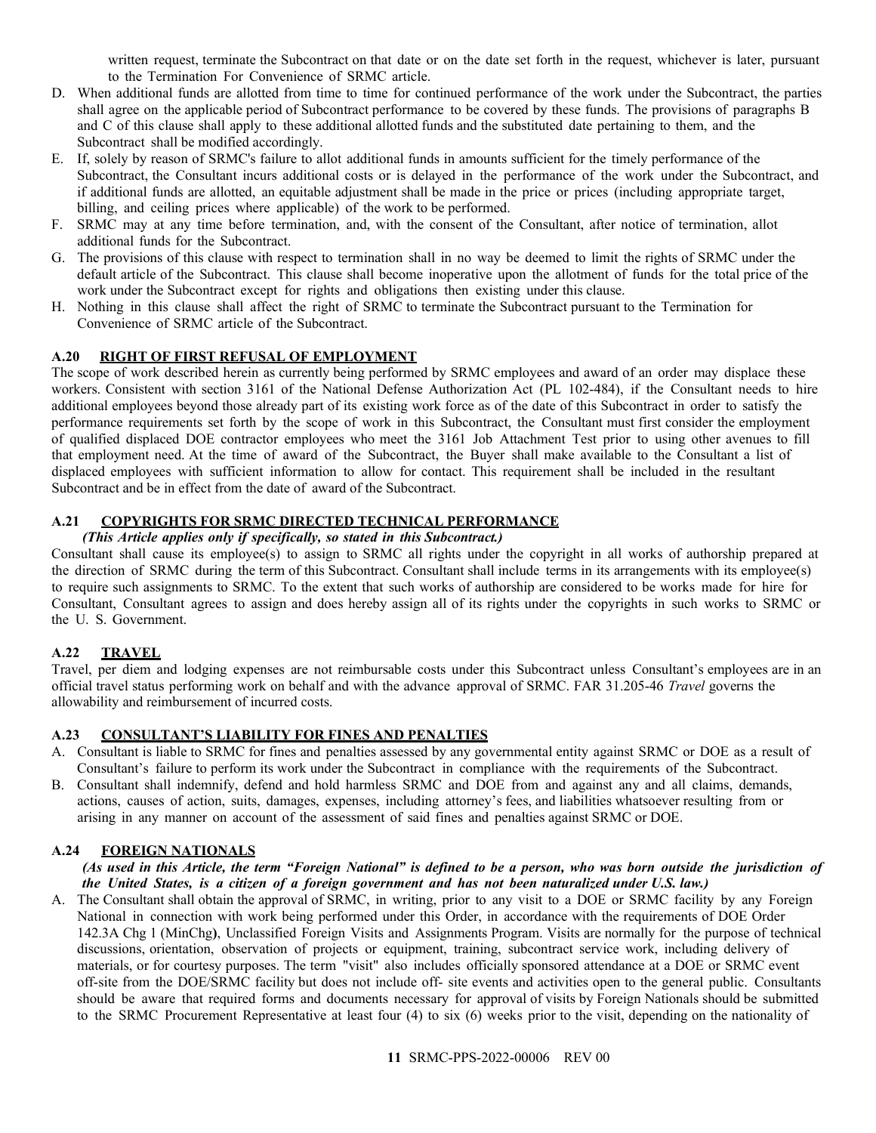written request, terminate the Subcontract on that date or on the date set forth in the request, whichever is later, pursuant to the Termination For Convenience of SRMC article.

- D. When additional funds are allotted from time to time for continued performance of the work under the Subcontract, the parties shall agree on the applicable period of Subcontract performance to be covered by these funds. The provisions of paragraphs B and C of this clause shall apply to these additional allotted funds and the substituted date pertaining to them, and the Subcontract shall be modified accordingly.
- E. If, solely by reason of SRMC's failure to allot additional funds in amounts sufficient for the timely performance of the Subcontract, the Consultant incurs additional costs or is delayed in the performance of the work under the Subcontract, and if additional funds are allotted, an equitable adjustment shall be made in the price or prices (including appropriate target, billing, and ceiling prices where applicable) of the work to be performed.
- F. SRMC may at any time before termination, and, with the consent of the Consultant, after notice of termination, allot additional funds for the Subcontract.
- G. The provisions of this clause with respect to termination shall in no way be deemed to limit the rights of SRMC under the default article of the Subcontract. This clause shall become inoperative upon the allotment of funds for the total price of the work under the Subcontract except for rights and obligations then existing under this clause.
- H. Nothing in this clause shall affect the right of SRMC to terminate the Subcontract pursuant to the Termination for Convenience of SRMC article of the Subcontract.

#### <span id="page-10-0"></span>**A.20 RIGHT OF FIRST REFUSAL OF EMPLOYMENT**

The scope of work described herein as currently being performed by SRMC employees and award of an order may displace these workers. Consistent with section 3161 of the National Defense Authorization Act (PL 102-484), if the Consultant needs to hire additional employees beyond those already part of its existing work force as of the date of this Subcontract in order to satisfy the performance requirements set forth by the scope of work in this Subcontract, the Consultant must first consider the employment of qualified displaced DOE contractor employees who meet the 3161 Job Attachment Test prior to using other avenues to fill that employment need. At the time of award of the Subcontract, the Buyer shall make available to the Consultant a list of displaced employees with sufficient information to allow for contact. This requirement shall be included in the resultant Subcontract and be in effect from the date of award of the Subcontract.

#### <span id="page-10-1"></span>**A.21 COPYRIGHTS FOR SRMC DIRECTED TECHNICAL PERFORMANCE**

#### *(This Article applies only if specifically, so stated in this Subcontract.)*

Consultant shall cause its employee(s) to assign to SRMC all rights under the copyright in all works of authorship prepared at the direction of SRMC during the term of this Subcontract. Consultant shall include terms in its arrangements with its employee(s) to require such assignments to SRMC. To the extent that such works of authorship are considered to be works made for hire for Consultant, Consultant agrees to assign and does hereby assign all of its rights under the copyrights in such works to SRMC or the U. S. Government.

#### <span id="page-10-2"></span>**A.22 TRAVEL**

Travel, per diem and lodging expenses are not reimbursable costs under this Subcontract unless Consultant's employees are in an official travel status performing work on behalf and with the advance approval of SRMC. FAR 31.205-46 *Travel* governs the allowability and reimbursement of incurred costs.

#### <span id="page-10-3"></span>**A.23 CONSULTANT'S LIABILITY FOR FINES AND PENALTIES**

- A. Consultant is liable to SRMC for fines and penalties assessed by any governmental entity against SRMC or DOE as a result of Consultant's failure to perform its work under the Subcontract in compliance with the requirements of the Subcontract.
- B. Consultant shall indemnify, defend and hold harmless SRMC and DOE from and against any and all claims, demands, actions, causes of action, suits, damages, expenses, including attorney's fees, and liabilities whatsoever resulting from or arising in any manner on account of the assessment of said fines and penalties against SRMC or DOE.

#### <span id="page-10-4"></span>**A.24 FOREIGN NATIONALS**

#### (As used in this Article, the term "Foreign National" is defined to be a person, who was born outside the jurisdiction of *the United States, is a citizen of a foreign government and has not been naturalized under U.S. law.)*

A. The Consultant shall obtain the approval of SRMC, in writing, prior to any visit to a DOE or SRMC facility by any Foreign National in connection with work being performed under this Order, in accordance with the requirements of DOE Order 142.3A Chg 1 (MinChg**)**, Unclassified Foreign Visits and Assignments Program. Visits are normally for the purpose of technical discussions, orientation, observation of projects or equipment, training, subcontract service work, including delivery of materials, or for courtesy purposes. The term "visit" also includes officially sponsored attendance at a DOE or SRMC event off-site from the DOE/SRMC facility but does not include off- site events and activities open to the general public. Consultants should be aware that required forms and documents necessary for approval of visits by Foreign Nationals should be submitted to the SRMC Procurement Representative at least four (4) to six (6) weeks prior to the visit, depending on the nationality of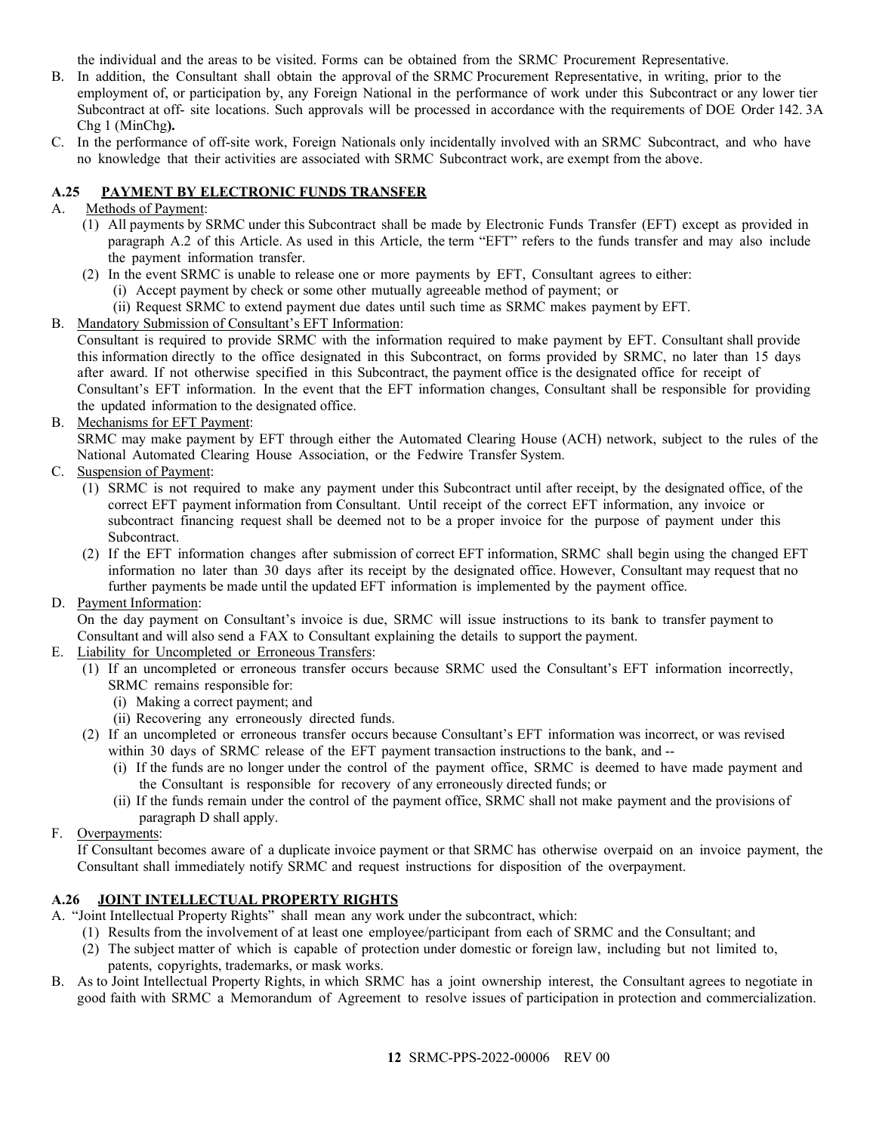the individual and the areas to be visited. Forms can be obtained from the SRMC Procurement Representative.

- B. In addition, the Consultant shall obtain the approval of the SRMC Procurement Representative, in writing, prior to the employment of, or participation by, any Foreign National in the performance of work under this Subcontract or any lower tier Subcontract at off- site locations. Such approvals will be processed in accordance with the requirements of DOE Order 142. 3A Chg 1 (MinChg**).**
- C. In the performance of off-site work, Foreign Nationals only incidentally involved with an SRMC Subcontract, and who have no knowledge that their activities are associated with SRMC Subcontract work, are exempt from the above.

### <span id="page-11-0"></span>**A.25 PAYMENT BY ELECTRONIC FUNDS TRANSFER**

### A. Methods of Payment:

- (1) All payments by SRMC under this Subcontract shall be made by Electronic Funds Transfer (EFT) except as provided in paragraph A.2 of this Article. As used in this Article, the term "EFT" refers to the funds transfer and may also include the payment information transfer.
- (2) In the event SRMC is unable to release one or more payments by EFT, Consultant agrees to either:
	- (i) Accept payment by check or some other mutually agreeable method of payment; or
	- (ii) Request SRMC to extend payment due dates until such time as SRMC makes payment by EFT.
- B. Mandatory Submission of Consultant's EFT Information:

Consultant is required to provide SRMC with the information required to make payment by EFT. Consultant shall provide this information directly to the office designated in this Subcontract, on forms provided by SRMC, no later than 15 days after award. If not otherwise specified in this Subcontract, the payment office is the designated office for receipt of Consultant's EFT information. In the event that the EFT information changes, Consultant shall be responsible for providing the updated information to the designated office.

#### B. Mechanisms for EFT Payment:

SRMC may make payment by EFT through either the Automated Clearing House (ACH) network, subject to the rules of the National Automated Clearing House Association, or the Fedwire Transfer System.

#### C. Suspension of Payment:

- (1) SRMC is not required to make any payment under this Subcontract until after receipt, by the designated office, of the correct EFT payment information from Consultant. Until receipt of the correct EFT information, any invoice or subcontract financing request shall be deemed not to be a proper invoice for the purpose of payment under this Subcontract.
- (2) If the EFT information changes after submission of correct EFT information, SRMC shall begin using the changed EFT information no later than 30 days after its receipt by the designated office. However, Consultant may request that no further payments be made until the updated EFT information is implemented by the payment office.

#### D. Payment Information:

On the day payment on Consultant's invoice is due, SRMC will issue instructions to its bank to transfer payment to Consultant and will also send a FAX to Consultant explaining the details to support the payment.

- E. Liability for Uncompleted or Erroneous Transfers:
	- (1) If an uncompleted or erroneous transfer occurs because SRMC used the Consultant's EFT information incorrectly, SRMC remains responsible for:
		- (i) Making a correct payment; and
		- (ii) Recovering any erroneously directed funds.
	- (2) If an uncompleted or erroneous transfer occurs because Consultant's EFT information was incorrect, or was revised within 30 days of SRMC release of the EFT payment transaction instructions to the bank, and --
		- (i) If the funds are no longer under the control of the payment office, SRMC is deemed to have made payment and the Consultant is responsible for recovery of any erroneously directed funds; or
		- (ii) If the funds remain under the control of the payment office, SRMC shall not make payment and the provisions of paragraph D shall apply.

#### F. Overpayments:

If Consultant becomes aware of a duplicate invoice payment or that SRMC has otherwise overpaid on an invoice payment, the Consultant shall immediately notify SRMC and request instructions for disposition of the overpayment.

#### <span id="page-11-1"></span>**A.26 JOINT INTELLECTUAL PROPERTY RIGHTS**

- A. "Joint Intellectual Property Rights" shall mean any work under the subcontract, which:
	- (1) Results from the involvement of at least one employee/participant from each of SRMC and the Consultant; and
	- (2) The subject matter of which is capable of protection under domestic or foreign law, including but not limited to, patents, copyrights, trademarks, or mask works.
- B. As to Joint Intellectual Property Rights, in which SRMC has a joint ownership interest, the Consultant agrees to negotiate in good faith with SRMC a Memorandum of Agreement to resolve issues of participation in protection and commercialization.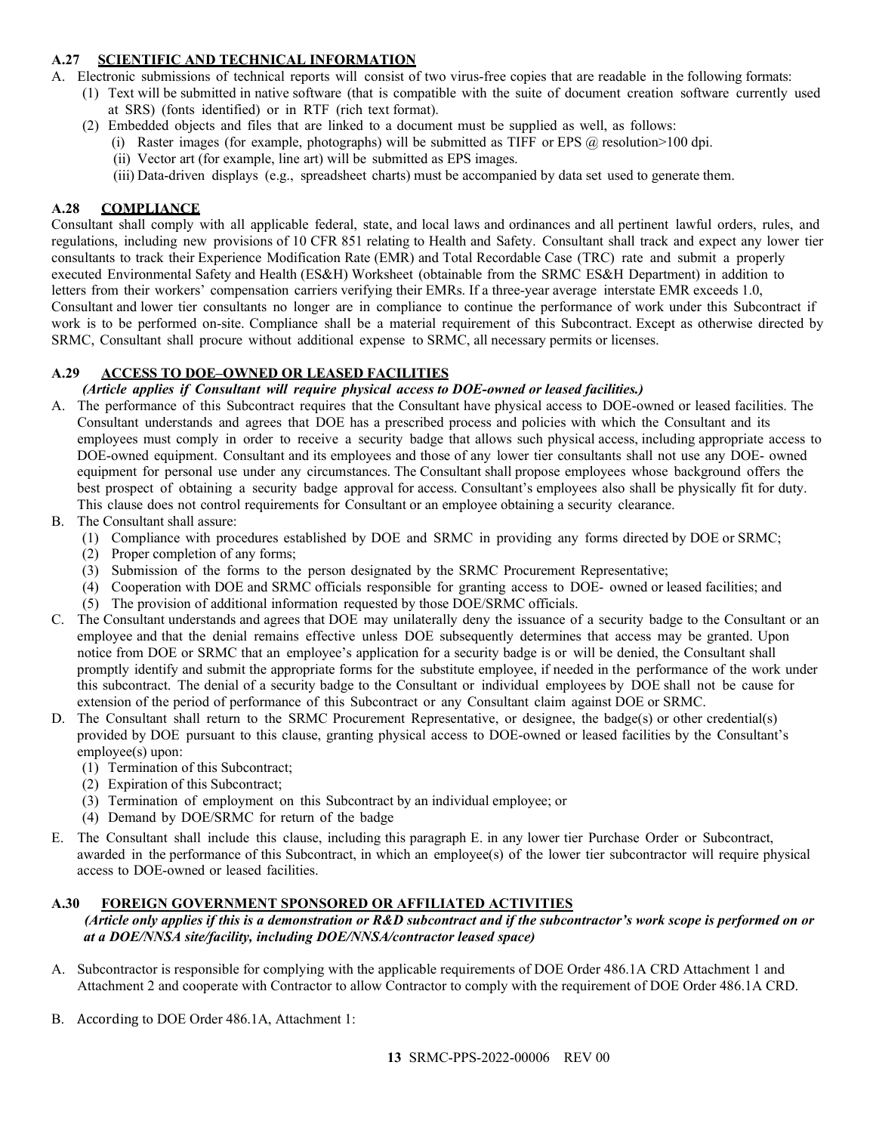### <span id="page-12-0"></span>**A.27 SCIENTIFIC AND TECHNICAL INFORMATION**

- A. Electronic submissions of technical reports will consist of two virus-free copies that are readable in the following formats:
	- (1) Text will be submitted in native software (that is compatible with the suite of document creation software currently used at SRS) (fonts identified) or in RTF (rich text format).
	- (2) Embedded objects and files that are linked to a document must be supplied as well, as follows:
		- (i) Raster images (for example, photographs) will be submitted as TIFF or EPS @ resolution>100 dpi.
		- (ii) Vector art (for example, line art) will be submitted as EPS images.
		- (iii) Data-driven displays (e.g., spreadsheet charts) must be accompanied by data set used to generate them.

# <span id="page-12-1"></span>**A.28 COMPLIANCE**

Consultant shall comply with all applicable federal, state, and local laws and ordinances and all pertinent lawful orders, rules, and regulations, including new provisions of 10 CFR 851 relating to Health and Safety. Consultant shall track and expect any lower tier consultants to track their Experience Modification Rate (EMR) and Total Recordable Case (TRC) rate and submit a properly executed Environmental Safety and Health (ES&H) Worksheet (obtainable from the SRMC ES&H Department) in addition to letters from their workers' compensation carriers verifying their EMRs. If a three-year average interstate EMR exceeds 1.0, Consultant and lower tier consultants no longer are in compliance to continue the performance of work under this Subcontract if work is to be performed on-site. Compliance shall be a material requirement of this Subcontract. Except as otherwise directed by SRMC, Consultant shall procure without additional expense to SRMC, all necessary permits or licenses.

# <span id="page-12-2"></span>**A.29 ACCESS TO DOE–OWNED OR LEASED FACILITIES**

### *(Article applies if Consultant will require physical access to DOE-owned or leased facilities.)*

- A. The performance of this Subcontract requires that the Consultant have physical access to DOE-owned or leased facilities. The Consultant understands and agrees that DOE has a prescribed process and policies with which the Consultant and its employees must comply in order to receive a security badge that allows such physical access, including appropriate access to DOE-owned equipment. Consultant and its employees and those of any lower tier consultants shall not use any DOE- owned equipment for personal use under any circumstances. The Consultant shall propose employees whose background offers the best prospect of obtaining a security badge approval for access. Consultant's employees also shall be physically fit for duty. This clause does not control requirements for Consultant or an employee obtaining a security clearance.
- B. The Consultant shall assure:
	- (1) Compliance with procedures established by DOE and SRMC in providing any forms directed by DOE or SRMC;
	- (2) Proper completion of any forms;
	- (3) Submission of the forms to the person designated by the SRMC Procurement Representative;
	- (4) Cooperation with DOE and SRMC officials responsible for granting access to DOE- owned or leased facilities; and
	- (5) The provision of additional information requested by those DOE/SRMC officials.
- C. The Consultant understands and agrees that DOE may unilaterally deny the issuance of a security badge to the Consultant or an employee and that the denial remains effective unless DOE subsequently determines that access may be granted. Upon notice from DOE or SRMC that an employee's application for a security badge is or will be denied, the Consultant shall promptly identify and submit the appropriate forms for the substitute employee, if needed in the performance of the work under this subcontract. The denial of a security badge to the Consultant or individual employees by DOE shall not be cause for extension of the period of performance of this Subcontract or any Consultant claim against DOE or SRMC.
- D. The Consultant shall return to the SRMC Procurement Representative, or designee, the badge(s) or other credential(s) provided by DOE pursuant to this clause, granting physical access to DOE-owned or leased facilities by the Consultant's employee(s) upon:
	- (1) Termination of this Subcontract;
	- (2) Expiration of this Subcontract;
	- (3) Termination of employment on this Subcontract by an individual employee; or
	- (4) Demand by DOE/SRMC for return of the badge
- E. The Consultant shall include this clause, including this paragraph E. in any lower tier Purchase Order or Subcontract, awarded in the performance of this Subcontract, in which an employee(s) of the lower tier subcontractor will require physical access to DOE-owned or leased facilities.

### <span id="page-12-3"></span>**A.30 FOREIGN GOVERNMENT SPONSORED OR AFFILIATED ACTIVITIES**

#### *(Article only applies if this is a demonstration or R&D subcontract and if the subcontractor's work scope is performed on or at a DOE/NNSA site/facility, including DOE/NNSA/contractor leased space)*

- A. Subcontractor is responsible for complying with the applicable requirements of DOE Order 486.1A CRD Attachment 1 and Attachment 2 and cooperate with Contractor to allow Contractor to comply with the requirement of DOE Order 486.1A CRD.
- B. According to DOE Order 486.1A, Attachment 1: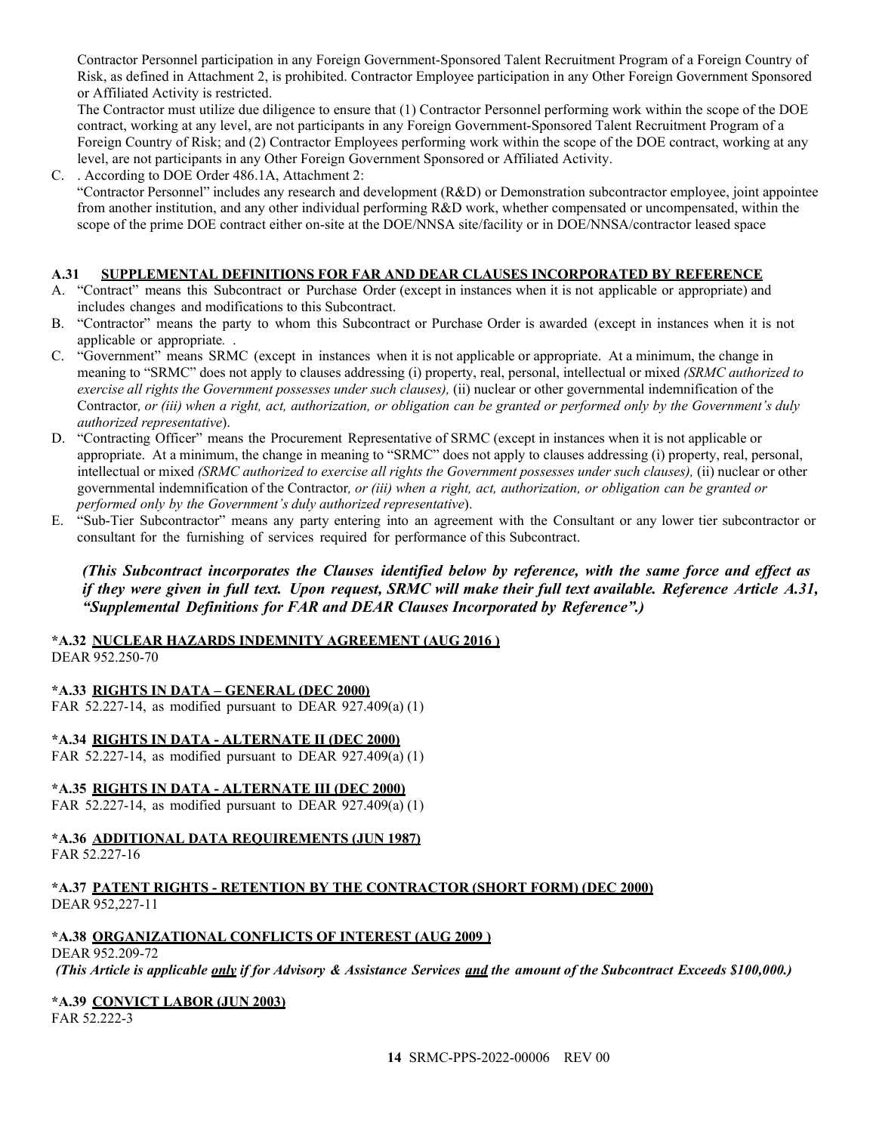Contractor Personnel participation in any Foreign Government-Sponsored Talent Recruitment Program of a Foreign Country of Risk, as defined in Attachment 2, is prohibited. Contractor Employee participation in any Other Foreign Government Sponsored or Affiliated Activity is restricted.

The Contractor must utilize due diligence to ensure that (1) Contractor Personnel performing work within the scope of the DOE contract, working at any level, are not participants in any Foreign Government-Sponsored Talent Recruitment Program of a Foreign Country of Risk; and (2) Contractor Employees performing work within the scope of the DOE contract, working at any level, are not participants in any Other Foreign Government Sponsored or Affiliated Activity.

C. . According to DOE Order 486.1A, Attachment 2:

"Contractor Personnel" includes any research and development (R&D) or Demonstration subcontractor employee, joint appointee from another institution, and any other individual performing R&D work, whether compensated or uncompensated, within the scope of the prime DOE contract either on-site at the DOE/NNSA site/facility or in DOE/NNSA/contractor leased space

### <span id="page-13-0"></span>**A.31 SUPPLEMENTAL DEFINITIONS FOR FAR AND DEAR CLAUSES INCORPORATED BY REFERENCE**

- A. "Contract" means this Subcontract or Purchase Order (except in instances when it is not applicable or appropriate) and includes changes and modifications to this Subcontract.
- B. "Contractor" means the party to whom this Subcontract or Purchase Order is awarded (except in instances when it is not applicable or appropriate*.* .
- C. "Government" means SRMC (except in instances when it is not applicable or appropriate. At a minimum, the change in meaning to "SRMC" does not apply to clauses addressing (i) property, real, personal, intellectual or mixed *(SRMC authorized to exercise all rights the Government possesses under such clauses),* (ii) nuclear or other governmental indemnification of the Contractor, or (iii) when a right, act, authorization, or obligation can be granted or performed only by the Government's duly *authorized representative*).
- D. "Contracting Officer" means the Procurement Representative of SRMC (except in instances when it is not applicable or appropriate. At a minimum, the change in meaning to "SRMC" does not apply to clauses addressing (i) property, real, personal, intellectual or mixed *(SRMC authorized to exercise all rights the Government possesses under such clauses),* (ii) nuclear or other governmental indemnification of the Contractor*, or (iii) when a right, act, authorization, or obligation can be granted or performed only by the Government's duly authorized representative*).
- E. "Sub-Tier Subcontractor" means any party entering into an agreement with the Consultant or any lower tier subcontractor or consultant for the furnishing of services required for performance of this Subcontract.

# *(This Subcontract incorporates the Clauses identified below by reference, with the same force and effect as* if they were given in full text. Upon request, SRMC will make their full text available. Reference Article A.31, *"Supplemental Definitions for FAR and DEAR Clauses Incorporated by Reference".)*

#### <span id="page-13-1"></span>**\*A.32 NUCLEAR HAZARDS INDEMNITY AGREEMENT (AUG 2016 )** DEAR 952.250-70

<span id="page-13-2"></span>**\*A.33 RIGHTS IN DATA – GENERAL (DEC 2000)**

FAR 52.227-14, as modified pursuant to DEAR 927.409(a) (1)

# <span id="page-13-3"></span>**\*A.34 RIGHTS IN DATA - ALTERNATE II (DEC 2000)**

FAR 52.227-14, as modified pursuant to DEAR 927.409(a) (1)

#### <span id="page-13-4"></span>**\*A.35 RIGHTS IN DATA - ALTERNATE III (DEC 2000)**

FAR 52.227-14, as modified pursuant to DEAR 927.409(a) (1)

#### <span id="page-13-5"></span>**\*A.36 ADDITIONAL DATA REQUIREMENTS (JUN 1987)** FAR 52.227-16

#### <span id="page-13-6"></span>**\*A.37 PATENT RIGHTS - RETENTION BY THE CONTRACTOR (SHORT FORM) (DEC 2000)** DEAR 952,227-11

#### <span id="page-13-7"></span>**\*A.38 ORGANIZATIONAL CONFLICTS OF INTEREST (AUG 2009 )** DEAR 952.209-72 (This Article is applicable only if for Advisory & Assistance Services and the amount of the Subcontract Exceeds \$100,000.)

# <span id="page-13-8"></span>**\*A.39 CONVICT LABOR (JUN 2003)**

FAR 52.222-3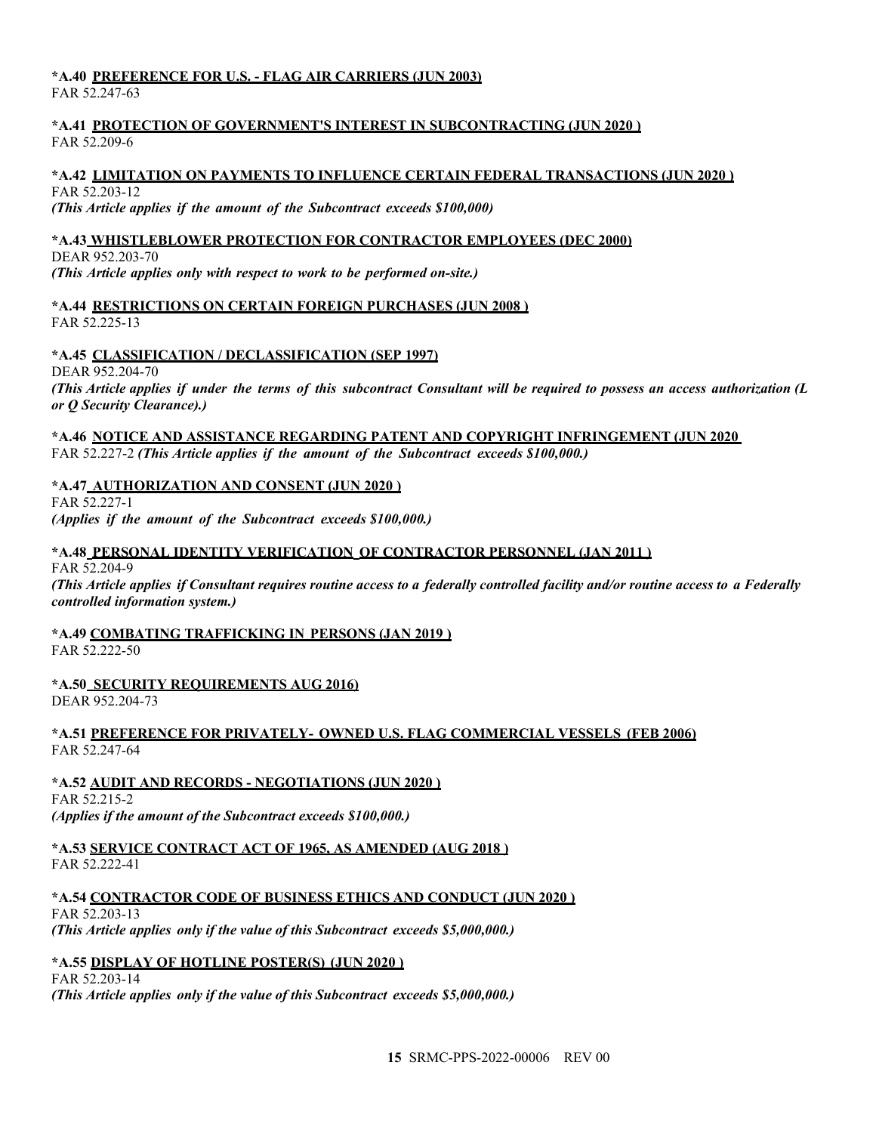#### <span id="page-14-0"></span>**\*A.40 PREFERENCE FOR U.S. - FLAG AIR CARRIERS (JUN 2003)** FAR 52.247-63

#### <span id="page-14-1"></span>**\*A.41 PROTECTION OF GOVERNMENT'S INTEREST IN SUBCONTRACTING (JUN 2020 )** FAR 52.209-6

### <span id="page-14-2"></span>**\*A.42 LIMITATION ON PAYMENTS TO INFLUENCE CERTAIN FEDERAL TRANSACTIONS (JUN 2020 )**

FAR 52.203-12 *(This Article applies if the amount of the Subcontract exceeds \$100,000)*

### <span id="page-14-3"></span>**\*A.43 WHISTLEBLOWER PROTECTION FOR CONTRACTOR EMPLOYEES (DEC 2000)**

DEAR 952.203-70

*(This Article applies only with respect to work to be performed on-site.)*

<span id="page-14-4"></span>**\*A.44 RESTRICTIONS ON CERTAIN FOREIGN PURCHASES (JUN 2008 )** FAR 52.225-13

### <span id="page-14-5"></span>**\*A.45 CLASSIFICATION / DECLASSIFICATION (SEP 1997)**

DEAR 952.204-70

(This Article applies if under the terms of this subcontract Consultant will be required to possess an access authorization (L *or Q Security Clearance).)*

<span id="page-14-6"></span>**\*A.46 NOTICE AND ASSISTANCE REGARDING PATENT AND COPYRIGHT INFRINGEMENT (JUN 2020**  FAR 52.227-2 *(This Article applies if the amount of the Subcontract exceeds \$100,000.)*

<span id="page-14-7"></span>**\*A.47 AUTHORIZATION AND CONSENT (JUN 2020 )** FAR 52.227-1 *(Applies if the amount of the Subcontract exceeds \$100,000.)*

# <span id="page-14-8"></span>**\*A.48 PERSONAL IDENTITY VERIFICATION OF CONTRACTOR PERSONNEL (JAN 2011 )**

FAR 52.204-9

*(This Article applies if Consultant requires routine access to a federally controlled facility and/or routine access to a Federally controlled information system.)*

<span id="page-14-9"></span>**\*A.49 COMBATING TRAFFICKING IN PERSONS (JAN 2019 )** FAR 52.222-50

<span id="page-14-10"></span>**\*A.50 SECURITY REQUIREMENTS AUG 2016)** DEAR 952.204-73

#### <span id="page-14-11"></span>**\*A.51 PREFERENCE FOR PRIVATELY- OWNED U.S. FLAG COMMERCIAL VESSELS (FEB 2006)** FAR 52.247-64

<span id="page-14-12"></span>**\*A.52 AUDIT AND RECORDS - NEGOTIATIONS (JUN 2020 )** FAR 52.215-2 *(Applies if the amount of the Subcontract exceeds \$100,000.)*

#### <span id="page-14-13"></span>**\*A.53 SERVICE CONTRACT ACT OF 1965, AS AMENDED (AUG 2018 )** FAR 52.222-41

<span id="page-14-14"></span>**\*A.54 CONTRACTOR CODE OF BUSINESS ETHICS AND CONDUCT (JUN 2020 )** FAR 52.203-13 *(This Article applies only if the value of this Subcontract exceeds \$5,000,000.)*

<span id="page-14-15"></span>**\*A.55 DISPLAY OF HOTLINE POSTER(S) (JUN 2020 )** FAR 52.203-14 *(This Article applies only if the value of this Subcontract exceeds \$5,000,000.)*